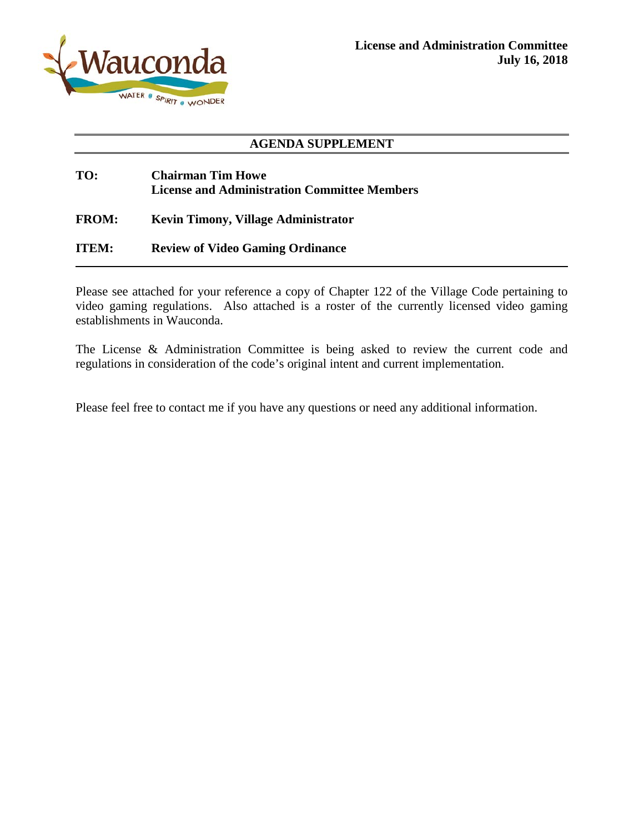

### **AGENDA SUPPLEMENT**

## **TO: Chairman Tim Howe License and Administration Committee Members**

**FROM: Kevin Timony, Village Administrator**

**ITEM: Review of Video Gaming Ordinance**

Please see attached for your reference a copy of Chapter 122 of the Village Code pertaining to video gaming regulations. Also attached is a roster of the currently licensed video gaming establishments in Wauconda.

The License & Administration Committee is being asked to review the current code and regulations in consideration of the code's original intent and current implementation.

Please feel free to contact me if you have any questions or need any additional information.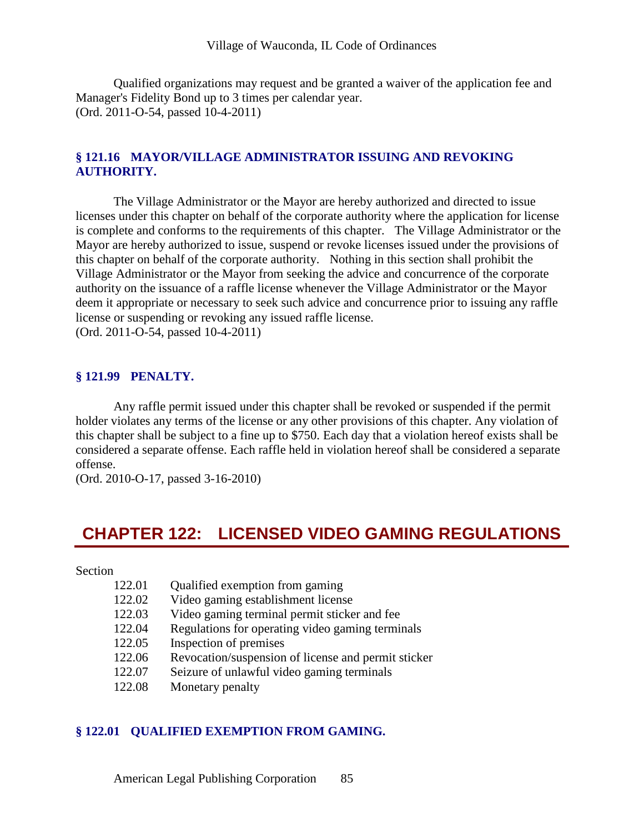Qualified organizations may request and be granted a waiver of the application fee and Manager's Fidelity Bond up to 3 times per calendar year. (Ord. 2011-O-54, passed 10-4-2011)

### **§ 121.16 MAYOR/VILLAGE ADMINISTRATOR ISSUING AND REVOKING AUTHORITY.**

The Village Administrator or the Mayor are hereby authorized and directed to issue licenses under this chapter on behalf of the corporate authority where the application for license is complete and conforms to the requirements of this chapter. The Village Administrator or the Mayor are hereby authorized to issue, suspend or revoke licenses issued under the provisions of this chapter on behalf of the corporate authority. Nothing in this section shall prohibit the Village Administrator or the Mayor from seeking the advice and concurrence of the corporate authority on the issuance of a raffle license whenever the Village Administrator or the Mayor deem it appropriate or necessary to seek such advice and concurrence prior to issuing any raffle license or suspending or revoking any issued raffle license. (Ord. 2011-O-54, passed 10-4-2011)

#### **§ 121.99 PENALTY.**

Any raffle permit issued under this chapter shall be revoked or suspended if the permit holder violates any terms of the license or any other provisions of this chapter. Any violation of this chapter shall be subject to a fine up to \$750. Each day that a violation hereof exists shall be considered a separate offense. Each raffle held in violation hereof shall be considered a separate offense.

(Ord. 2010-O-17, passed 3-16-2010)

# **CHAPTER 122: LICENSED VIDEO GAMING REGULATIONS**

Section

| 122.01 | Qualified exemption from gaming                     |
|--------|-----------------------------------------------------|
| 122.02 | Video gaming establishment license                  |
| 122.03 | Video gaming terminal permit sticker and fee        |
| 122.04 | Regulations for operating video gaming terminals    |
| 122.05 | Inspection of premises                              |
| 122.06 | Revocation/suspension of license and permit sticker |
| 122.07 | Seizure of unlawful video gaming terminals          |
| 122.08 | Monetary penalty                                    |

#### **§ 122.01 QUALIFIED EXEMPTION FROM GAMING.**

American Legal Publishing Corporation 85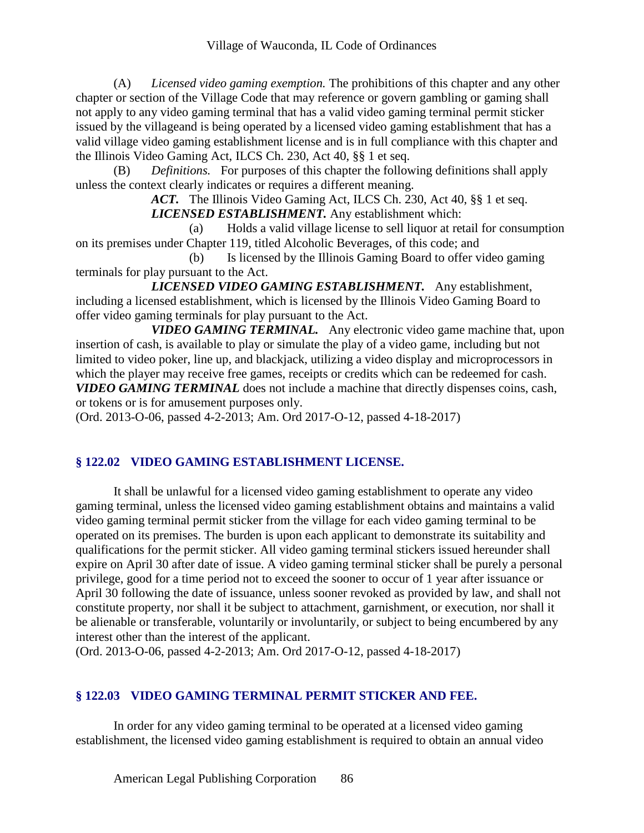(A) *Licensed video gaming exemption.* The prohibitions of this chapter and any other chapter or section of the Village Code that may reference or govern gambling or gaming shall not apply to any video gaming terminal that has a valid video gaming terminal permit sticker issued by the villageand is being operated by a licensed video gaming establishment that has a valid village video gaming establishment license and is in full compliance with this chapter and the Illinois Video Gaming Act, ILCS Ch. 230, Act 40, §§ 1 et seq.

(B) *Definitions.* For purposes of this chapter the following definitions shall apply unless the context clearly indicates or requires a different meaning.

*ACT.* The Illinois Video Gaming Act, ILCS Ch. 230, Act 40, §§ 1 et seq. *LICENSED ESTABLISHMENT.* Any establishment which:

(a) Holds a valid village license to sell liquor at retail for consumption on its premises under Chapter 119, titled Alcoholic Beverages, of this code; and

(b) Is licensed by the Illinois Gaming Board to offer video gaming terminals for play pursuant to the Act.

*LICENSED VIDEO GAMING ESTABLISHMENT.* Any establishment, including a licensed establishment, which is licensed by the Illinois Video Gaming Board to offer video gaming terminals for play pursuant to the Act.

*VIDEO GAMING TERMINAL.* Any electronic video game machine that, upon insertion of cash, is available to play or simulate the play of a video game, including but not limited to video poker, line up, and blackjack, utilizing a video display and microprocessors in which the player may receive free games, receipts or credits which can be redeemed for cash. *VIDEO GAMING TERMINAL* does not include a machine that directly dispenses coins, cash, or tokens or is for amusement purposes only.

(Ord. 2013-O-06, passed 4-2-2013; Am. Ord 2017-O-12, passed 4-18-2017)

## **§ 122.02 VIDEO GAMING ESTABLISHMENT LICENSE.**

It shall be unlawful for a licensed video gaming establishment to operate any video gaming terminal, unless the licensed video gaming establishment obtains and maintains a valid video gaming terminal permit sticker from the village for each video gaming terminal to be operated on its premises. The burden is upon each applicant to demonstrate its suitability and qualifications for the permit sticker. All video gaming terminal stickers issued hereunder shall expire on April 30 after date of issue. A video gaming terminal sticker shall be purely a personal privilege, good for a time period not to exceed the sooner to occur of 1 year after issuance or April 30 following the date of issuance, unless sooner revoked as provided by law, and shall not constitute property, nor shall it be subject to attachment, garnishment, or execution, nor shall it be alienable or transferable, voluntarily or involuntarily, or subject to being encumbered by any interest other than the interest of the applicant.

(Ord. 2013-O-06, passed 4-2-2013; Am. Ord 2017-O-12, passed 4-18-2017)

## **§ 122.03 VIDEO GAMING TERMINAL PERMIT STICKER AND FEE.**

In order for any video gaming terminal to be operated at a licensed video gaming establishment, the licensed video gaming establishment is required to obtain an annual video

American Legal Publishing Corporation 86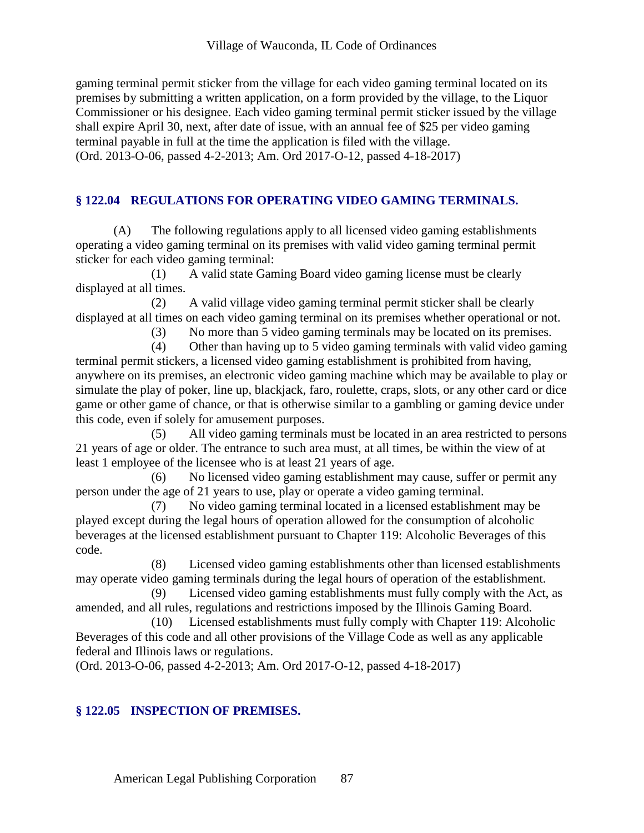gaming terminal permit sticker from the village for each video gaming terminal located on its premises by submitting a written application, on a form provided by the village, to the Liquor Commissioner or his designee. Each video gaming terminal permit sticker issued by the village shall expire April 30, next, after date of issue, with an annual fee of \$25 per video gaming terminal payable in full at the time the application is filed with the village. (Ord. 2013-O-06, passed 4-2-2013; Am. Ord 2017-O-12, passed 4-18-2017)

## **§ 122.04 REGULATIONS FOR OPERATING VIDEO GAMING TERMINALS.**

(A) The following regulations apply to all licensed video gaming establishments operating a video gaming terminal on its premises with valid video gaming terminal permit sticker for each video gaming terminal:

(1) A valid state Gaming Board video gaming license must be clearly displayed at all times.

(2) A valid village video gaming terminal permit sticker shall be clearly displayed at all times on each video gaming terminal on its premises whether operational or not.

(3) No more than 5 video gaming terminals may be located on its premises.

(4) Other than having up to 5 video gaming terminals with valid video gaming terminal permit stickers, a licensed video gaming establishment is prohibited from having, anywhere on its premises, an electronic video gaming machine which may be available to play or simulate the play of poker, line up, blackjack, faro, roulette, craps, slots, or any other card or dice game or other game of chance, or that is otherwise similar to a gambling or gaming device under this code, even if solely for amusement purposes.

(5) All video gaming terminals must be located in an area restricted to persons 21 years of age or older. The entrance to such area must, at all times, be within the view of at least 1 employee of the licensee who is at least 21 years of age.

(6) No licensed video gaming establishment may cause, suffer or permit any person under the age of 21 years to use, play or operate a video gaming terminal.

(7) No video gaming terminal located in a licensed establishment may be played except during the legal hours of operation allowed for the consumption of alcoholic beverages at the licensed establishment pursuant to Chapter 119: Alcoholic Beverages of this code.

(8) Licensed video gaming establishments other than licensed establishments may operate video gaming terminals during the legal hours of operation of the establishment.

(9) Licensed video gaming establishments must fully comply with the Act, as amended, and all rules, regulations and restrictions imposed by the Illinois Gaming Board.

(10) Licensed establishments must fully comply with Chapter 119: Alcoholic Beverages of this code and all other provisions of the Village Code as well as any applicable federal and Illinois laws or regulations.

(Ord. 2013-O-06, passed 4-2-2013; Am. Ord 2017-O-12, passed 4-18-2017)

## **§ 122.05 INSPECTION OF PREMISES.**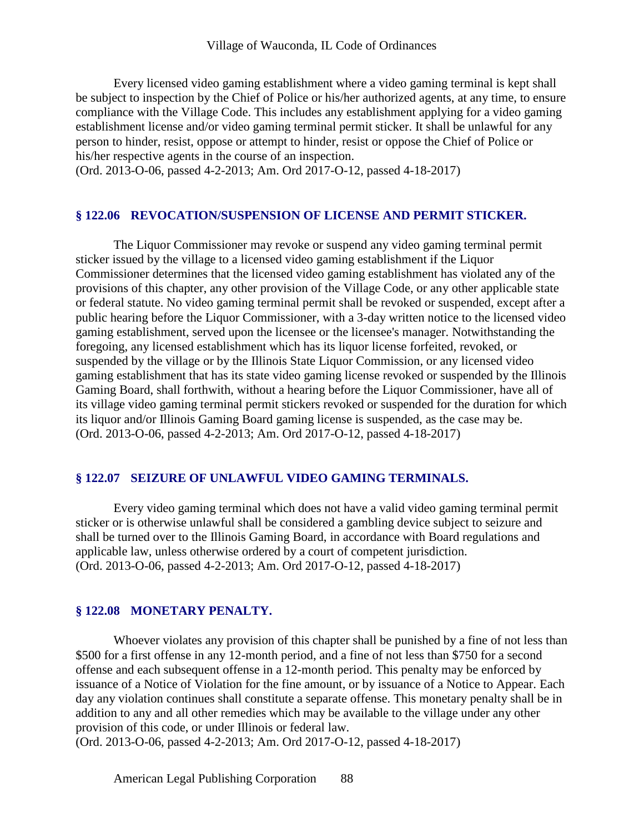Every licensed video gaming establishment where a video gaming terminal is kept shall be subject to inspection by the Chief of Police or his/her authorized agents, at any time, to ensure compliance with the Village Code. This includes any establishment applying for a video gaming establishment license and/or video gaming terminal permit sticker. It shall be unlawful for any person to hinder, resist, oppose or attempt to hinder, resist or oppose the Chief of Police or his/her respective agents in the course of an inspection.

(Ord. 2013-O-06, passed 4-2-2013; Am. Ord 2017-O-12, passed 4-18-2017)

#### **§ 122.06 REVOCATION/SUSPENSION OF LICENSE AND PERMIT STICKER.**

The Liquor Commissioner may revoke or suspend any video gaming terminal permit sticker issued by the village to a licensed video gaming establishment if the Liquor Commissioner determines that the licensed video gaming establishment has violated any of the provisions of this chapter, any other provision of the Village Code, or any other applicable state or federal statute. No video gaming terminal permit shall be revoked or suspended, except after a public hearing before the Liquor Commissioner, with a 3-day written notice to the licensed video gaming establishment, served upon the licensee or the licensee's manager. Notwithstanding the foregoing, any licensed establishment which has its liquor license forfeited, revoked, or suspended by the village or by the Illinois State Liquor Commission, or any licensed video gaming establishment that has its state video gaming license revoked or suspended by the Illinois Gaming Board, shall forthwith, without a hearing before the Liquor Commissioner, have all of its village video gaming terminal permit stickers revoked or suspended for the duration for which its liquor and/or Illinois Gaming Board gaming license is suspended, as the case may be. (Ord. 2013-O-06, passed 4-2-2013; Am. Ord 2017-O-12, passed 4-18-2017)

#### **§ 122.07 SEIZURE OF UNLAWFUL VIDEO GAMING TERMINALS.**

Every video gaming terminal which does not have a valid video gaming terminal permit sticker or is otherwise unlawful shall be considered a gambling device subject to seizure and shall be turned over to the Illinois Gaming Board, in accordance with Board regulations and applicable law, unless otherwise ordered by a court of competent jurisdiction. (Ord. 2013-O-06, passed 4-2-2013; Am. Ord 2017-O-12, passed 4-18-2017)

#### **§ 122.08 MONETARY PENALTY.**

Whoever violates any provision of this chapter shall be punished by a fine of not less than \$500 for a first offense in any 12-month period, and a fine of not less than \$750 for a second offense and each subsequent offense in a 12-month period. This penalty may be enforced by issuance of a Notice of Violation for the fine amount, or by issuance of a Notice to Appear. Each day any violation continues shall constitute a separate offense. This monetary penalty shall be in addition to any and all other remedies which may be available to the village under any other provision of this code, or under Illinois or federal law.

(Ord. 2013-O-06, passed 4-2-2013; Am. Ord 2017-O-12, passed 4-18-2017)